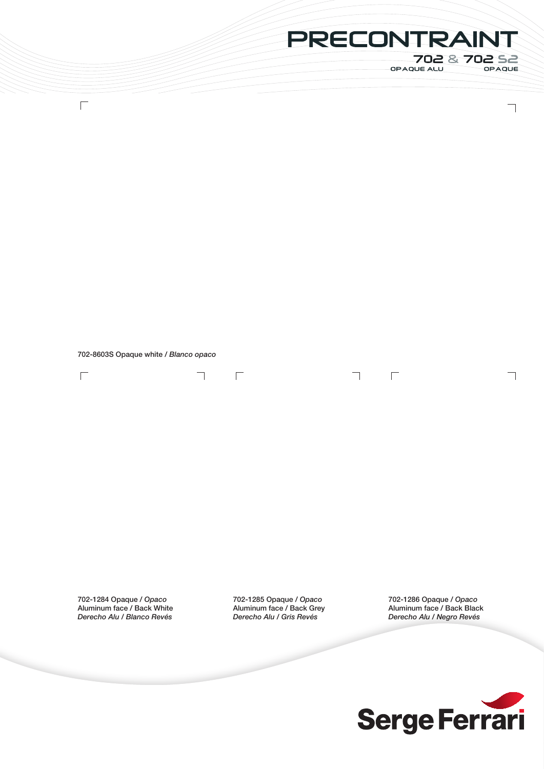## PRECONTRAINT

 $\Box$ 

702 & 702 S2<br>
PAQUE ALU OPAQUE

 $\overline{\phantom{0}}$ 

 $\overline{\phantom{a}}$ 

702-8603S Opaque white / *Blanco opaco*

 $\overline{\phantom{0}}$ 

 $\overline{\Gamma}$ 

 $\Box$ 

 $\Box$ 

702-1284 Opaque / *Opaco* Aluminum face / Back White *Derecho Alu / Blanco Revés*

702-1285 Opaque / *Opaco* Aluminum face / Back Grey *Derecho Alu / Gris Revés*

702-1286 Opaque / *Opaco* Aluminum face / Back Black *Derecho Alu / Negro Revés*